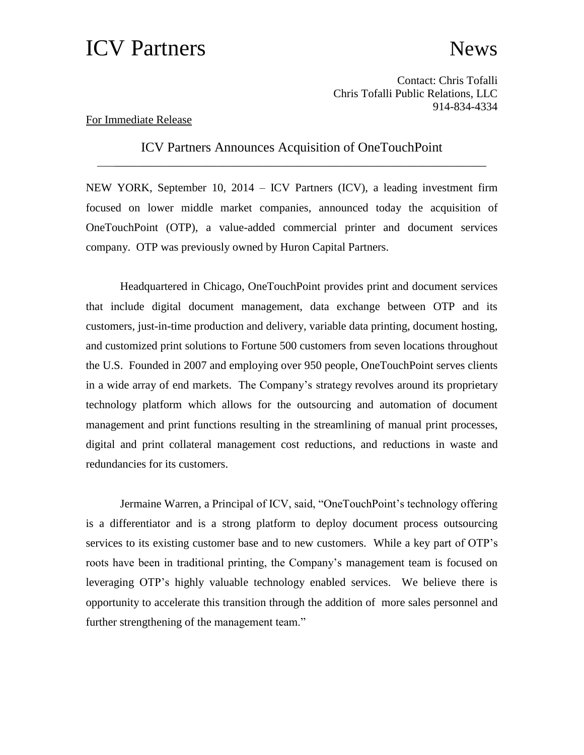## ICV Partners News

Contact: Chris Tofalli Chris Tofalli Public Relations, LLC 914-834-4334

## For Immediate Release

ICV Partners Announces Acquisition of OneTouchPoint \_\_\_\_\_\_\_\_\_\_\_\_\_\_\_\_\_\_\_\_\_\_\_\_\_\_\_\_\_\_\_\_\_\_\_\_\_\_\_\_\_\_\_\_\_\_\_\_\_\_\_\_\_\_\_\_\_\_\_\_\_\_\_\_\_\_\_\_

NEW YORK, September 10, 2014 – ICV Partners (ICV), a leading investment firm focused on lower middle market companies, announced today the acquisition of OneTouchPoint (OTP), a value-added commercial printer and document services company. OTP was previously owned by Huron Capital Partners.

Headquartered in Chicago, OneTouchPoint provides print and document services that include digital document management, data exchange between OTP and its customers, just-in-time production and delivery, variable data printing, document hosting, and customized print solutions to Fortune 500 customers from seven locations throughout the U.S. Founded in 2007 and employing over 950 people, OneTouchPoint serves clients in a wide array of end markets. The Company's strategy revolves around its proprietary technology platform which allows for the outsourcing and automation of document management and print functions resulting in the streamlining of manual print processes, digital and print collateral management cost reductions, and reductions in waste and redundancies for its customers.

Jermaine Warren, a Principal of ICV, said, "OneTouchPoint's technology offering is a differentiator and is a strong platform to deploy document process outsourcing services to its existing customer base and to new customers. While a key part of OTP's roots have been in traditional printing, the Company's management team is focused on leveraging OTP's highly valuable technology enabled services. We believe there is opportunity to accelerate this transition through the addition of more sales personnel and further strengthening of the management team."